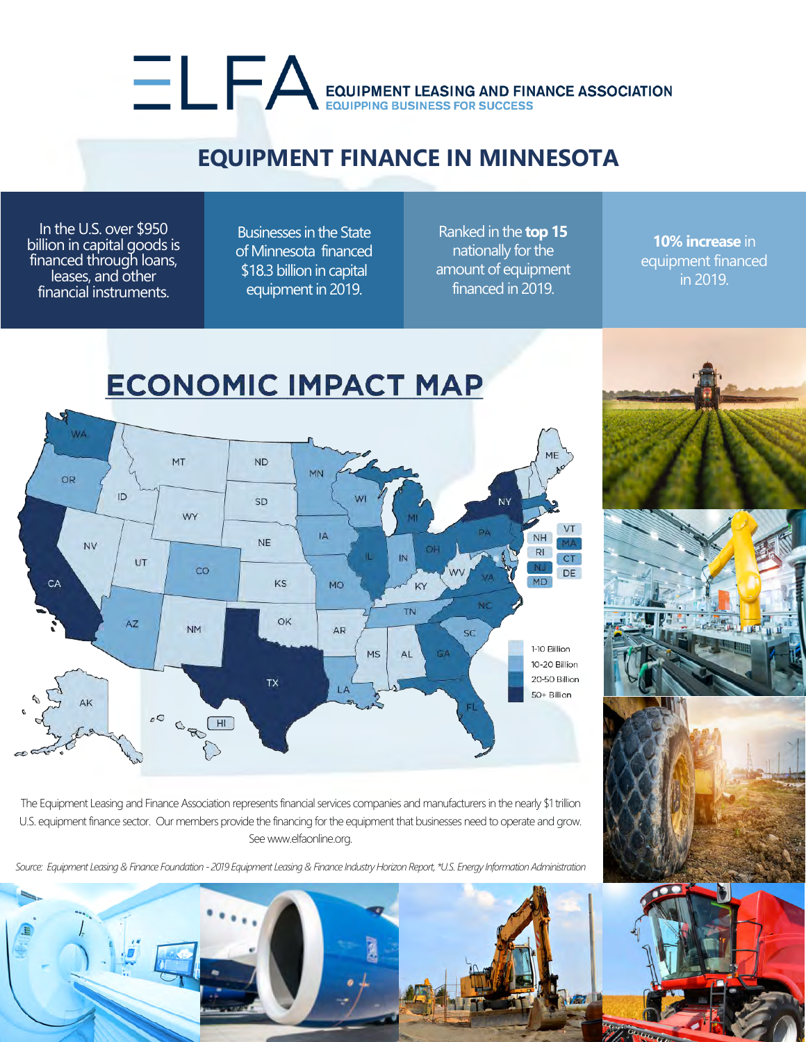## EQUIPMENT LEASING AND FINANCE ASSOCIATION

## **EQUIPMENT FINANCE IN MINNESOTA**

In the U.S. over \$950 billion in capital goods is financed through loans, leases, and other financial instruments.

Businesses in the State of Minnesota financed \$18.3 billion in capital equipment in 2019.

Ranked in the **top 15** nationally for the amount of equipment financed in 2019.

**10% increase** in equipment financed in 2019.



The Equipment Leasing and Finance Association represents financial services companies and manufacturers in the nearly \$1 trillion U.S. equipment finance sector. Our members provide the financing for the equipment that businesses need to operate and grow. See www.elfaonline.org.

*Source: Equipment Leasing & Finance Foundation - 2019 Equipment Leasing & Finance Industry Horizon Report, \*U.S. Energy Information Administration*